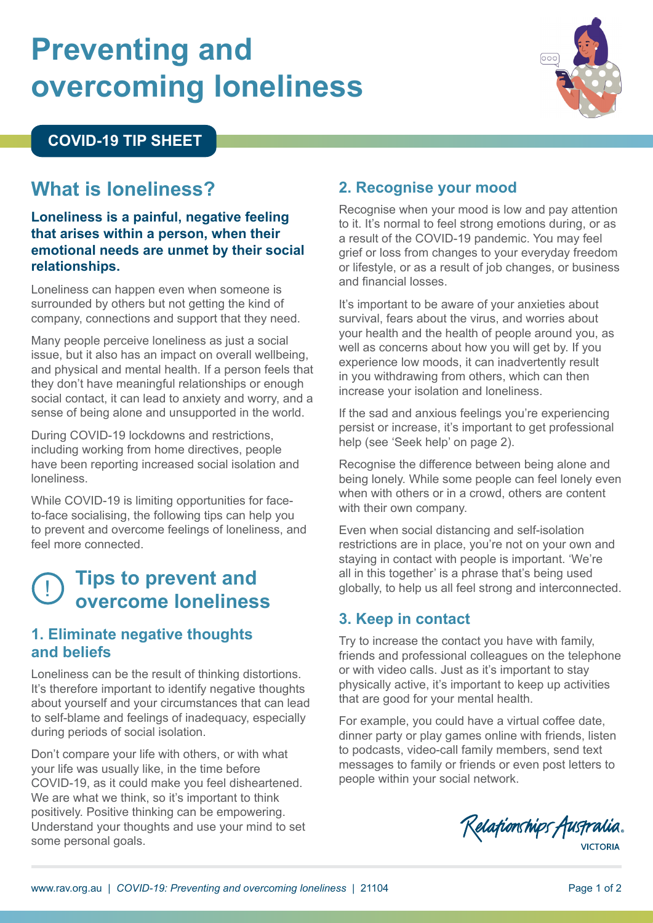# **Preventing and overcoming loneliness**



#### **COVID-19 TIP SHEET**

## **What is loneliness?**

#### **Loneliness is a painful, negative feeling that arises within a person, when their emotional needs are unmet by their social relationships.**

Loneliness can happen even when someone is surrounded by others but not getting the kind of company, connections and support that they need.

Many people perceive loneliness as just a social issue, but it also has an impact on overall wellbeing, and physical and mental health. If a person feels that they don't have meaningful relationships or enough social contact, it can lead to anxiety and worry, and a sense of being alone and unsupported in the world.

During COVID-19 lockdowns and restrictions, including working from home directives, people have been reporting increased social isolation and loneliness.

While COVID-19 is limiting opportunities for faceto-face socialising, the following tips can help you to prevent and overcome feelings of loneliness, and feel more connected.

# ! **Tips to prevent and overcome loneliness**

#### **1. Eliminate negative thoughts and beliefs**

Loneliness can be the result of thinking distortions. It's therefore important to identify negative thoughts about yourself and your circumstances that can lead to self-blame and feelings of inadequacy, especially during periods of social isolation.

Don't compare your life with others, or with what your life was usually like, in the time before COVID-19, as it could make you feel disheartened. We are what we think, so it's important to think positively. Positive thinking can be empowering. Understand your thoughts and use your mind to set some personal goals.

## **2. Recognise your mood**

Recognise when your mood is low and pay attention to it. It's normal to feel strong emotions during, or as a result of the COVID-19 pandemic. You may feel grief or loss from changes to your everyday freedom or lifestyle, or as a result of job changes, or business and financial losses.

It's important to be aware of your anxieties about survival, fears about the virus, and worries about your health and the health of people around you, as well as concerns about how you will get by. If you experience low moods, it can inadvertently result in you withdrawing from others, which can then increase your isolation and loneliness.

If the sad and anxious feelings you're experiencing persist or increase, it's important to get professional help (see 'Seek help' on page 2).

Recognise the difference between being alone and being lonely. While some people can feel lonely even when with others or in a crowd, others are content with their own company.

Even when social distancing and self-isolation restrictions are in place, you're not on your own and staying in contact with people is important. 'We're all in this together' is a phrase that's being used globally, to help us all feel strong and interconnected.

#### **3. Keep in contact**

Try to increase the contact you have with family, friends and professional colleagues on the telephone or with video calls. Just as it's important to stay physically active, it's important to keep up activities that are good for your mental health.

For example, you could have a virtual coffee date, dinner party or play games online with friends, listen to podcasts, video-call family members, send text messages to family or friends or even post letters to people within your social network.

Relationships Australia